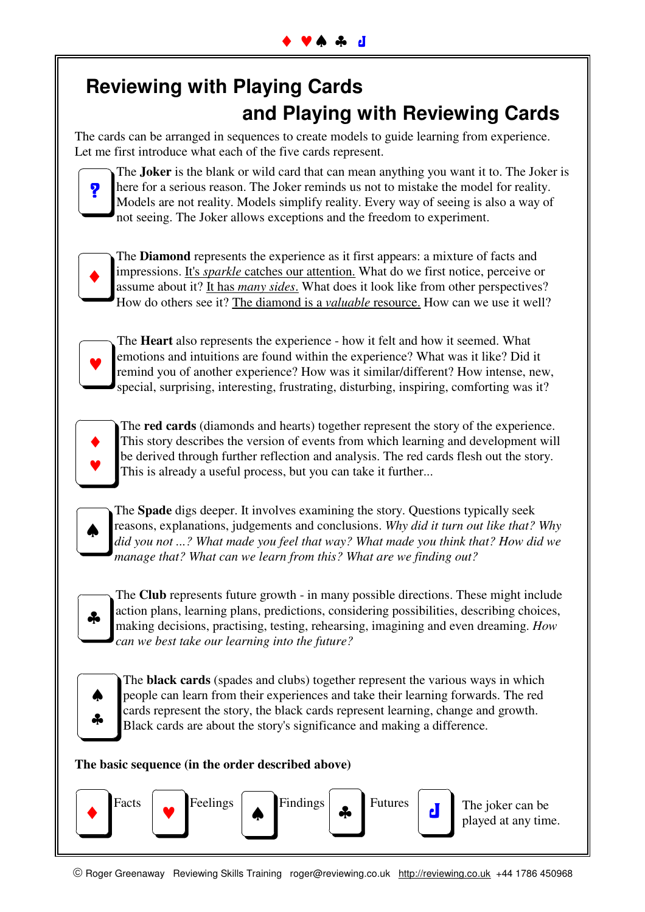# **Reviewing with Playing Cards and Playing with Reviewing Cards**

The cards can be arranged in sequences to create models to guide learning from experience. Let me first introduce what each of the five cards represent.

The **Joker** is the blank or wild card that can mean anything you want it to. The Joker is here for a serious reason. The Joker reminds us not to mistake the model for reality. Models are not reality. Models simplify reality. Every way of seeing is also a way of not seeing. The Joker allows exceptions and the freedom to experiment.



♥

?

The **Diamond** represents the experience as it first appears: a mixture of facts and impressions. It's *sparkle* catches our attention. What do we first notice, perceive or assume about it? It has *many sides*. What does it look like from other perspectives? How do others see it? The diamond is a *valuable* resource. How can we use it well?

The **Heart** also represents the experience - how it felt and how it seemed. What emotions and intuitions are found within the experience? What was it like? Did it remind you of another experience? How was it similar/different? How intense, new, special, surprising, interesting, frustrating, disturbing, inspiring, comforting was it?



The **red cards** (diamonds and hearts) together represent the story of the experience. This story describes the version of events from which learning and development will be derived through further reflection and analysis. The red cards flesh out the story. This is already a useful process, but you can take it further...



The **Spade** digs deeper. It involves examining the story. Questions typically seek reasons, explanations, judgements and conclusions. *Why did it turn out like that? Why did you not ...? What made you feel that way? What made you think that? How did we manage that? What can we learn from this? What are we finding out?*



The **Club** represents future growth - in many possible directions. These might include action plans, learning plans, predictions, considering possibilities, describing choices, making decisions, practising, testing, rehearsing, imagining and even dreaming. *How can we best take our learning into the future?*



The **black cards** (spades and clubs) together represent the various ways in which people can learn from their experiences and take their learning forwards. The red cards represent the story, the black cards represent learning, change and growth. Black cards are about the story's significance and making a difference.

### **The basic sequence (in the order described above)**